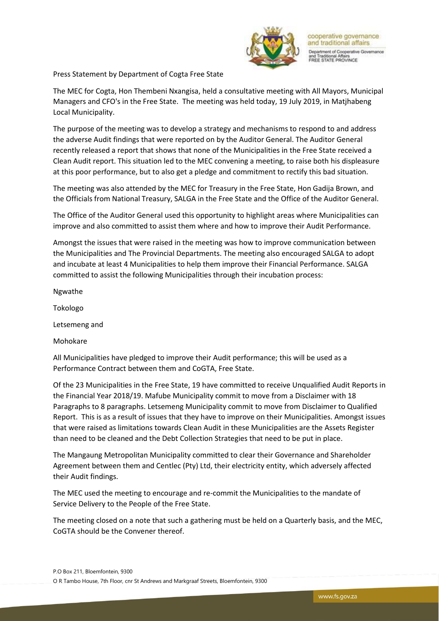

cooperative governance and traditional affairs tment of Cooperative Governance 1 Traditional Affairs<br>EE STATE PROVINCE

Press Statement by Department of Cogta Free State

The MEC for Cogta, Hon Thembeni Nxangisa, held a consultative meeting with All Mayors, Municipal Managers and CFO's in the Free State. The meeting was held today, 19 July 2019, in Matjhabeng Local Municipality.

The purpose of the meeting was to develop a strategy and mechanisms to respond to and address the adverse Audit findings that were reported on by the Auditor General. The Auditor General recently released a report that shows that none of the Municipalities in the Free State received a Clean Audit report. This situation led to the MEC convening a meeting, to raise both his displeasure at this poor performance, but to also get a pledge and commitment to rectify this bad situation.

The meeting was also attended by the MEC for Treasury in the Free State, Hon Gadija Brown, and the Officials from National Treasury, SALGA in the Free State and the Office of the Auditor General.

The Office of the Auditor General used this opportunity to highlight areas where Municipalities can improve and also committed to assist them where and how to improve their Audit Performance.

Amongst the issues that were raised in the meeting was how to improve communication between the Municipalities and The Provincial Departments. The meeting also encouraged SALGA to adopt and incubate at least 4 Municipalities to help them improve their Financial Performance. SALGA committed to assist the following Municipalities through their incubation process:

Ngwathe

Tokologo

Letsemeng and

Mohokare

All Municipalities have pledged to improve their Audit performance; this will be used as a Performance Contract between them and CoGTA, Free State.

Of the 23 Municipalities in the Free State, 19 have committed to receive Unqualified Audit Reports in the Financial Year 2018/19. Mafube Municipality commit to move from a Disclaimer with 18 Paragraphs to 8 paragraphs. Letsemeng Municipality commit to move from Disclaimer to Qualified Report. This is as a result of issues that they have to improve on their Municipalities. Amongst issues that were raised as limitations towards Clean Audit in these Municipalities are the Assets Register than need to be cleaned and the Debt Collection Strategies that need to be put in place.

The Mangaung Metropolitan Municipality committed to clear their Governance and Shareholder Agreement between them and Centlec (Pty) Ltd, their electricity entity, which adversely affected their Audit findings.

The MEC used the meeting to encourage and re-commit the Municipalities to the mandate of Service Delivery to the People of the Free State.

The meeting closed on a note that such a gathering must be held on a Quarterly basis, and the MEC, CoGTA should be the Convener thereof.